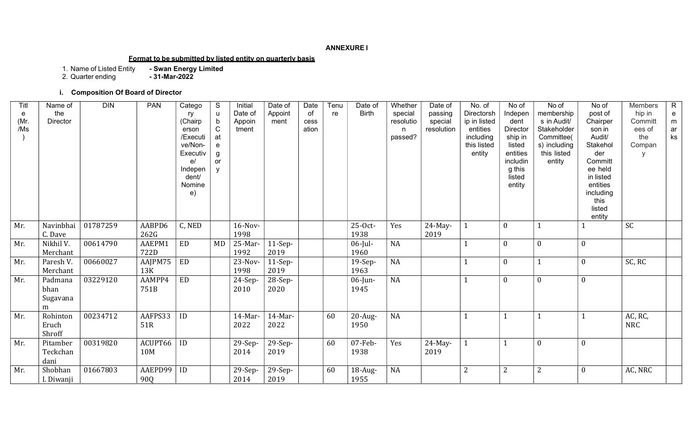#### ANNEXURE I

# Format to be submitted by listed entity on quarterly basis

1. Name of Listed Entity - Swan Energy Limited

2. Quarter ending **- 31-Mar-2022** 

# i. Composition Of Board of Director

| Titl<br>e<br>(Mr.<br>/Ms | Name of<br>the<br><b>Director</b> | <b>DIN</b> | <b>PAN</b>     | Catego<br>ry<br>(Chairp<br>erson<br>/Executi<br>ve/Non-<br>Executiv<br>e/<br>Indepen<br>dent/<br>Nomine<br>e) | S<br>u<br>b<br>$\mathsf C$<br>at<br>$\mathbf e$<br>g<br>or | Initial<br>Date of<br>Appoin<br>tment | Date of<br>Appoint<br>ment | Date<br>of<br>cess<br>ation | Tenu<br>re | Date of<br><b>Birth</b> | Whether<br>special<br>resolutio<br>n<br>passed? | Date of<br>passing<br>special<br>resolution | No. of<br>Directorsh<br>ip in listed<br>entities<br>including<br>this listed<br>entity | No of<br>Indepen<br>dent<br>Director<br>ship in<br>listed<br>entities<br>includin<br>g this<br>listed<br>entity | No of<br>membership<br>s in Audit/<br>Stakeholder<br>Committee(<br>s) including<br>this listed<br>entity | No of<br>post of<br>Chairper<br>son in<br>Audit/<br>Stakehol<br>der<br>Committ<br>ee held<br>in listed<br>entities<br>including<br>this<br>listed<br>entity | Members<br>hip in<br>Committ<br>ees of<br>the<br>Compan<br>$\vee$ | $\mathsf{R}$<br>$\mathbf{e}$<br>m<br>ar<br>ks |
|--------------------------|-----------------------------------|------------|----------------|---------------------------------------------------------------------------------------------------------------|------------------------------------------------------------|---------------------------------------|----------------------------|-----------------------------|------------|-------------------------|-------------------------------------------------|---------------------------------------------|----------------------------------------------------------------------------------------|-----------------------------------------------------------------------------------------------------------------|----------------------------------------------------------------------------------------------------------|-------------------------------------------------------------------------------------------------------------------------------------------------------------|-------------------------------------------------------------------|-----------------------------------------------|
| Mr.                      | Navinbhai<br>C. Dave              | 01787259   | AABPD6<br>262G | C, NED                                                                                                        |                                                            | $16-Nov-$<br>1998                     |                            |                             |            | 25-Oct-<br>1938         | Yes                                             | $24$ -May-<br>2019                          |                                                                                        | $\boldsymbol{0}$                                                                                                |                                                                                                          |                                                                                                                                                             | SC                                                                |                                               |
| Mr.                      | Nikhil V.<br>Merchant             | 00614790   | AAEPM1<br>722D | ED                                                                                                            | MD                                                         | 25-Mar-<br>1992                       | $11-Sep-$<br>2019          |                             |            | $06$ -Jul-<br>1960      | <b>NA</b>                                       |                                             |                                                                                        | $\boldsymbol{0}$                                                                                                | $\Omega$                                                                                                 | $\mathbf{0}$                                                                                                                                                |                                                                   |                                               |
| Mr.                      | Paresh V.<br>Merchant             | 00660027   | AAJPM75<br>13K | ED                                                                                                            |                                                            | 23-Nov-<br>1998                       | $11-Sep-$<br>2019          |                             |            | 19-Sep-<br>1963         | <b>NA</b>                                       |                                             |                                                                                        | $\boldsymbol{0}$                                                                                                |                                                                                                          | $\mathbf{0}$                                                                                                                                                | SC, RC                                                            |                                               |
| Mr.                      | Padmana<br>bhan<br>Sugavana<br>m  | 03229120   | AAMPP4<br>751B | ED                                                                                                            |                                                            | 24-Sep-<br>2010                       | 28-Sep-<br>2020            |                             |            | $06$ -Jun-<br>1945      | <b>NA</b>                                       |                                             |                                                                                        | $\boldsymbol{0}$                                                                                                | $\Omega$                                                                                                 | $\boldsymbol{0}$                                                                                                                                            |                                                                   |                                               |
| Mr.                      | Rohinton<br>Eruch<br>Shroff       | 00234712   | AAFPS33<br>51R | ID                                                                                                            |                                                            | 14-Mar-<br>2022                       | 14-Mar-<br>2022            |                             | 60         | 20-Aug-<br>1950         | <b>NA</b>                                       |                                             |                                                                                        |                                                                                                                 |                                                                                                          |                                                                                                                                                             | AC, RC,<br><b>NRC</b>                                             |                                               |
| Mr.                      | Pitamber<br>Teckchan<br>dani      | 00319820   | ACUPT66<br>10M | ID                                                                                                            |                                                            | 29-Sep-<br>2014                       | 29-Sep-<br>2019            |                             | 60         | 07-Feb-<br>1938         | Yes                                             | $24$ -May-<br>2019                          |                                                                                        |                                                                                                                 | $\theta$                                                                                                 | $\boldsymbol{0}$                                                                                                                                            |                                                                   |                                               |
| Mr.                      | Shobhan<br>I. Diwanji             | 01667803   | AAEPD99<br>90Q | ID                                                                                                            |                                                            | $29-Sep-$<br>2014                     | 29-Sep-<br>2019            |                             | 60         | 18-Aug-<br>1955         | <b>NA</b>                                       |                                             | $\overline{2}$                                                                         | $\overline{2}$                                                                                                  | 2                                                                                                        | $\boldsymbol{0}$                                                                                                                                            | AC, NRC                                                           |                                               |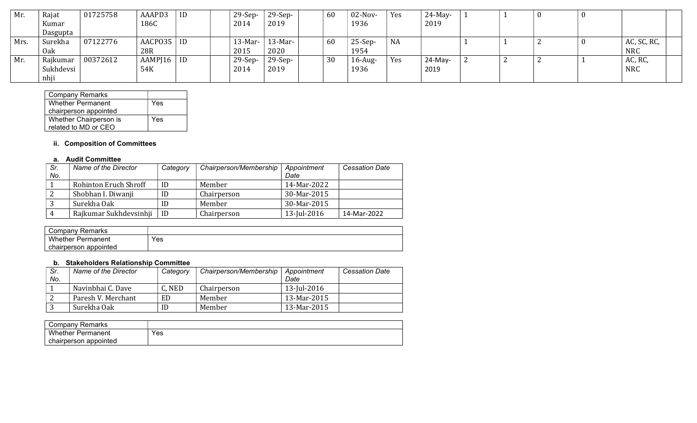| Mr.  | Rajat     | 01725758 | AAAPD3       | ID | $29-Sep-$ | $29-Sep-$  | 60 | $02$ -Nov- | Yes       | $24$ -May- |          | -0 |             |
|------|-----------|----------|--------------|----|-----------|------------|----|------------|-----------|------------|----------|----|-------------|
|      | Kumar     |          | 186C         |    | 2014      | 2019       |    | 1936       |           | 2019       |          |    |             |
|      | Dasgupta  |          |              |    |           |            |    |            |           |            |          |    |             |
| Mrs. | Surekha   | 07122776 | AACPO35      | ID | $13-Mar-$ | $13$ -Mar- | 60 | $25-Sep-$  | <b>NA</b> |            |          |    | AC, SC, RC, |
|      | Oak       |          | 28R          |    | 2015      | 2020       |    | 1954       |           |            |          |    | <b>NRC</b>  |
| Mr.  | Rajkumar  | 00372612 | AAMP[16   ID |    | $29-Sep-$ | $29-Sep-$  | 30 | $16$ -Aug- | Yes       | $24$ -May- | <u>.</u> |    | AC, RC,     |
|      | Sukhdevsi |          | 54K          |    | 2014      | 2019       |    | 1936       |           | 2019       |          |    | <b>NRC</b>  |
|      | nhji      |          |              |    |           |            |    |            |           |            |          |    |             |

| <b>Company Remarks</b>   |     |
|--------------------------|-----|
| <b>Whether Permanent</b> | Yes |
| chairperson appointed    |     |
| Whether Chairperson is   | Yes |
| related to MD or CEO     |     |

# ii. Composition of Committees

### a. Audit Committee

| Sr. | Name of the Director   | Category | Chairperson/Membership | Appointment | <b>Cessation Date</b> |
|-----|------------------------|----------|------------------------|-------------|-----------------------|
| No. |                        |          |                        | Date        |                       |
|     | Rohinton Eruch Shroff  | ID       | Member                 | 14-Mar-2022 |                       |
|     | Shobhan I. Diwanji     | ID       | Chairperson            | 30-Mar-2015 |                       |
|     | Surekha Oak            | ID       | Member                 | 30-Mar-2015 |                       |
|     | Rajkumar Sukhdevsinhji | ID       | Chairperson            | 13-Jul-2016 | 14-Mar-2022           |

| Company Remarks       |     |
|-----------------------|-----|
| Whether<br>Permanent  | Yes |
| chairperson appointed |     |

## b. Stakeholders Relationship Committee

| Sr.<br>No. | Name of the Director | Category | Chairperson/Membership | Appointment<br>Date | <b>Cessation Date</b> |
|------------|----------------------|----------|------------------------|---------------------|-----------------------|
|            | Navinbhai C. Dave    | C, NED   | Chairperson            | 13-Jul-2016         |                       |
|            | Paresh V. Merchant   | ED       | Member                 | 13-Mar-2015         |                       |
| ັ          | Surekha Oak          | ID       | Member                 | 13-Mar-2015         |                       |

| ' ompanyٽ<br>Remarks     |     |
|--------------------------|-----|
| Whether<br>Permanent     | Yes |
| chairperson<br>appointed |     |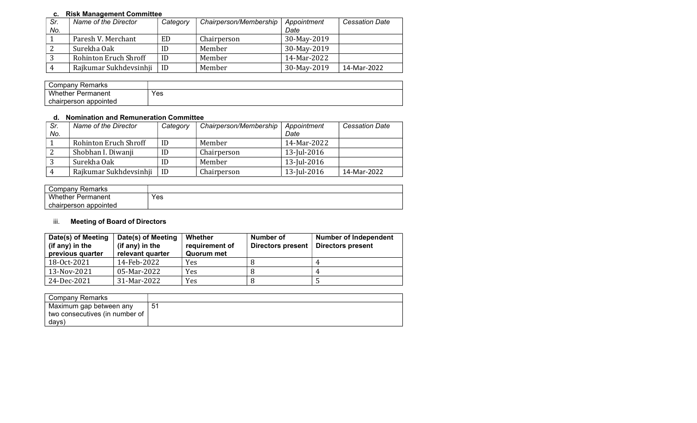# c. Risk Management Committee

| Sr. | Name of the Director   | Category | Chairperson/Membership | Appointment | <b>Cessation Date</b> |
|-----|------------------------|----------|------------------------|-------------|-----------------------|
| No. |                        |          |                        | Date        |                       |
|     | Paresh V. Merchant     | ED       | Chairperson            | 30-May-2019 |                       |
|     | Surekha Oak            | ID       | Member                 | 30-May-2019 |                       |
|     | Rohinton Eruch Shroff  | ID       | Member                 | 14-Mar-2022 |                       |
|     | Rajkumar Sukhdevsinhji | ID       | Member                 | 30-May-2019 | 14-Mar-2022           |

| Company Remarks          |     |
|--------------------------|-----|
| <b>Whether Permanent</b> | Yes |
| chairperson appointed    |     |

# d. Nomination and Remuneration Committee

| Sr. | Name of the Director   | Category | Chairperson/Membership | Appointment | <b>Cessation Date</b> |
|-----|------------------------|----------|------------------------|-------------|-----------------------|
| No. |                        |          |                        | Date        |                       |
|     | Rohinton Eruch Shroff  | ID       | Member                 | 14-Mar-2022 |                       |
|     | Shobhan I. Diwanji     | ID       | Chairperson            | 13-Jul-2016 |                       |
| C.  | Surekha Oak            | ID       | Member                 | 13-Jul-2016 |                       |
|     | Rajkumar Sukhdevsinhji | ID       | Chairperson            | 13-Jul-2016 | 14-Mar-2022           |

| Company Remarks           |     |
|---------------------------|-----|
| Whether<br>-<br>Permanent | Yes |
| chairperson<br>appointed  |     |

# iii. Meeting of Board of Directors

| Date(s) of Meeting<br>(if any) in the<br>previous quarter | Date(s) of Meeting<br>(if any) in the<br>relevant quarter | Whether<br>requirement of<br>Quorum met | Number of<br>Directors present | <b>Number of Independent</b><br><b>Directors present</b> |
|-----------------------------------------------------------|-----------------------------------------------------------|-----------------------------------------|--------------------------------|----------------------------------------------------------|
| 18-0ct-2021                                               | 14-Feb-2022                                               | Yes                                     |                                | 4                                                        |
| 13-Nov-2021                                               | 05-Mar-2022                                               | Yes                                     |                                | 4                                                        |
| 24-Dec-2021                                               | 31-Mar-2022                                               | Yes                                     |                                |                                                          |

| Company Remarks                |    |
|--------------------------------|----|
| Maximum gap between any        | 51 |
| two consecutives (in number of |    |
| days)                          |    |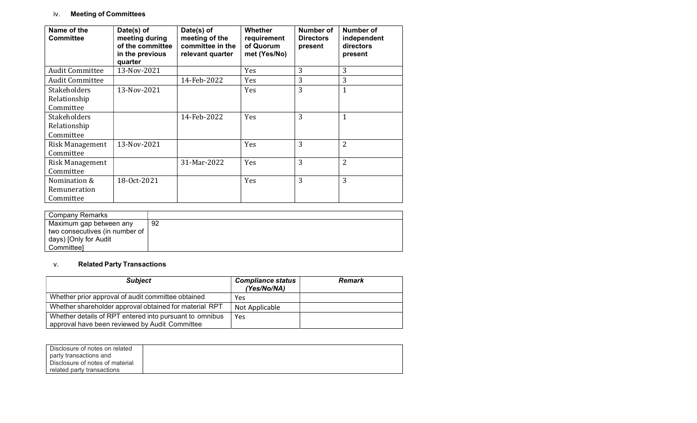# iv. Meeting of Committees

| Name of the<br><b>Committee</b>                  | Date(s) of<br>meeting during<br>of the committee<br>in the previous<br>quarter | Date(s) of<br>meeting of the<br>committee in the<br>relevant quarter | <b>Whether</b><br>requirement<br>of Quorum<br>met (Yes/No) | Number of<br><b>Directors</b><br>present | Number of<br>independent<br>directors<br>present |
|--------------------------------------------------|--------------------------------------------------------------------------------|----------------------------------------------------------------------|------------------------------------------------------------|------------------------------------------|--------------------------------------------------|
| <b>Audit Committee</b>                           | 13-Nov-2021                                                                    |                                                                      | Yes                                                        | 3                                        | 3                                                |
| <b>Audit Committee</b>                           |                                                                                | 14-Feb-2022                                                          | Yes                                                        | 3                                        | 3                                                |
| <b>Stakeholders</b><br>Relationship<br>Committee | 13-Nov-2021                                                                    |                                                                      | Yes                                                        | 3                                        | 1                                                |
| <b>Stakeholders</b><br>Relationship<br>Committee |                                                                                | 14-Feb-2022                                                          | <b>Yes</b>                                                 | 3                                        | $\mathbf{1}$                                     |
| Risk Management<br>Committee                     | 13-Nov-2021                                                                    |                                                                      | Yes                                                        | 3                                        | $\overline{2}$                                   |
| Risk Management<br>Committee                     |                                                                                | 31-Mar-2022                                                          | Yes                                                        | 3                                        | 2                                                |
| Nomination &<br>Remuneration<br>Committee        | 18-0ct-2021                                                                    |                                                                      | <b>Yes</b>                                                 | 3                                        | 3                                                |

| Company Remarks                |     |
|--------------------------------|-----|
| Maximum gap between any        | -92 |
| two consecutives (in number of |     |
| days) [Only for Audit          |     |
| Committeel                     |     |

# v. Related Party Transactions

| <b>Subject</b>                                                                                            | <b>Compliance status</b><br>(Yes/No/NA) | <b>Remark</b> |
|-----------------------------------------------------------------------------------------------------------|-----------------------------------------|---------------|
| Whether prior approval of audit committee obtained                                                        | Yes                                     |               |
| Whether shareholder approval obtained for material RPT                                                    | Not Applicable                          |               |
| Whether details of RPT entered into pursuant to omnibus<br>approval have been reviewed by Audit Committee | Yes                                     |               |

| Disclosure of notes on related  |  |
|---------------------------------|--|
| party transactions and          |  |
| Disclosure of notes of material |  |
| related party transactions      |  |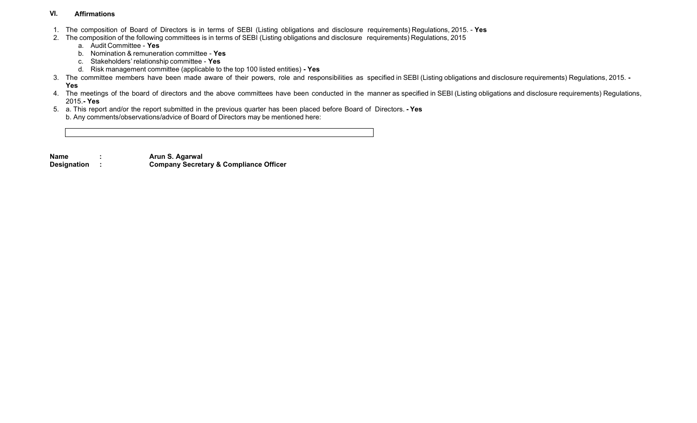#### VI. Affirmations

- 1. The composition of Board of Directors is in terms of SEBI (Listing obligations and disclosure requirements) Regulations, 2015. Yes
- 2. The composition of the following committees is in terms of SEBI (Listing obligations and disclosure requirements) Regulations, 2015
	- a. Audit Committee Yes
	- b. Nomination & remuneration committee Yes
	- c. Stakeholders' relationship committee Yes
	- d. Risk management committee (applicable to the top 100 listed entities) Yes
- 3. The committee members have been made aware of their powers, role and responsibilities as specified in SEBI (Listing obligations and disclosure requirements) Regulations, 2015. -

# Yes

- 4. The meetings of the board of directors and the above committees have been conducted in the manner as specified in SEBI (Listing obligations and disclosure requirements) Regulations, 2015.- Yes
- 5. a. This report and/or the report submitted in the previous quarter has been placed before Board of Directors. Yes b. Any comments/observations/advice of Board of Directors may be mentioned here:
- Name : Arun S. Agarwal Designation : Company Secretary & Compliance Officer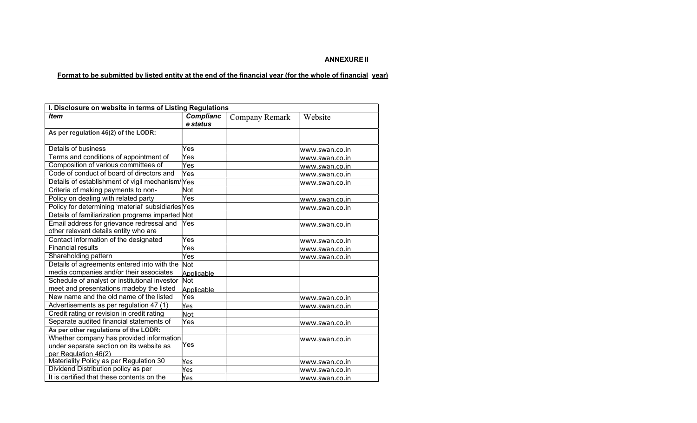## ANNEXURE II

# Format to be submitted by listed entity at the end of the financial year (for the whole of financial year)

| I. Disclosure on website in terms of Listing Regulations |                  |                |                       |  |
|----------------------------------------------------------|------------------|----------------|-----------------------|--|
| <b>Item</b>                                              | <b>Complianc</b> | Company Remark | Website               |  |
|                                                          | e status         |                |                       |  |
| As per regulation 46(2) of the LODR:                     |                  |                |                       |  |
|                                                          |                  |                |                       |  |
| Details of business                                      | Yes              |                | www.swan.co.in        |  |
| Terms and conditions of appointment of                   | Yes              |                | www.swan.co.in        |  |
| Composition of various committees of                     | Yes              |                | www.swan.co.in        |  |
| Code of conduct of board of directors and                | Yes              |                | www.swan.co.in        |  |
| Details of establishment of vigil mechanism/Yes          |                  |                | www.swan.co.in        |  |
| Criteria of making payments to non-                      | Not              |                |                       |  |
| Policy on dealing with related party                     | Yes              |                | www.swan.co.in        |  |
| Policy for determining 'material' subsidiaries Yes       |                  |                | www.swan.co.in        |  |
| Details of familiarization programs imparted Not         |                  |                |                       |  |
| Email address for grievance redressal and                | Yes              |                | www.swan.co.in        |  |
| other relevant details entity who are                    |                  |                |                       |  |
| Contact information of the designated                    | Yes              |                | www.swan.co.in        |  |
| <b>Financial results</b>                                 | Yes              |                | www.swan.co.in        |  |
| Shareholding pattern                                     | Yes              |                | www.swan.co.in        |  |
| Details of agreements entered into with the              | Not              |                |                       |  |
| media companies and/or their associates                  | Applicable       |                |                       |  |
| Schedule of analyst or institutional investor            | Not              |                |                       |  |
| meet and presentations madeby the listed                 | Applicable       |                |                       |  |
| New name and the old name of the listed                  | Yes              |                | www.swan.co.in        |  |
| Advertisements as per regulation 47 (1)                  | Yes              |                | www.swan.co.in        |  |
| Credit rating or revision in credit rating               | Not              |                |                       |  |
| Separate audited financial statements of                 | Yes              |                | www.swan.co.in        |  |
| As per other regulations of the LODR:                    |                  |                |                       |  |
| Whether company has provided information                 |                  |                | www.swan.co.in        |  |
| under separate section on its website as                 | Yes              |                |                       |  |
| per Regulation 46(2)                                     |                  |                |                       |  |
| Materiality Policy as per Regulation 30                  | Yes              |                | <u>www.swan.co.in</u> |  |
| Dividend Distribution policy as per                      | Yes              |                | www.swan.co.in        |  |
| It is certified that these contents on the               | Yes              |                | www.swan.co.in        |  |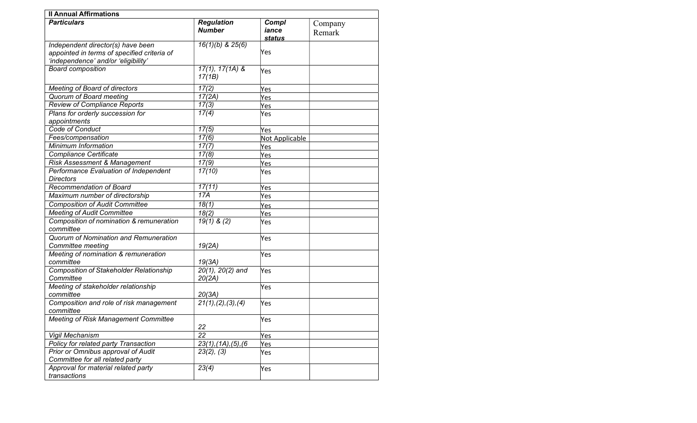| <b>Il Annual Affirmations</b>                                                      |                                  |                |         |
|------------------------------------------------------------------------------------|----------------------------------|----------------|---------|
| <b>Particulars</b>                                                                 | <b>Regulation</b>                | Compl          | Company |
|                                                                                    | <b>Number</b>                    | iance          | Remark  |
|                                                                                    |                                  | <b>status</b>  |         |
| Independent director(s) have been                                                  | $16(1)(b)$ & $25(6)$             | Yes            |         |
| appointed in terms of specified criteria of<br>'independence' and/or 'eligibility' |                                  |                |         |
| <b>Board composition</b>                                                           | $17(1), 17(1A)$ &                |                |         |
|                                                                                    | 17(1B)                           | Yes            |         |
| Meeting of Board of directors                                                      | 17(2)                            | Yes            |         |
| <b>Quorum of Board meeting</b>                                                     | 17(2A)                           | Yes            |         |
| <b>Review of Compliance Reports</b>                                                | 17(3)                            | Yes            |         |
| Plans for orderly succession for                                                   | 17(4)                            | Yes            |         |
| appointments                                                                       |                                  |                |         |
| Code of Conduct                                                                    | $\overline{17(5)}$               | Yes            |         |
| Fees/compensation                                                                  | 17(6)                            | Not Applicable |         |
| Minimum Information                                                                | 17(7)                            | Yes            |         |
| <b>Compliance Certificate</b>                                                      | 17(8)                            | Yes            |         |
| Risk Assessment & Management                                                       | 17(9)                            | Yes            |         |
| Performance Evaluation of Independent                                              | 17(10)                           | Yes            |         |
| <b>Directors</b>                                                                   |                                  |                |         |
| Recommendation of Board                                                            | 17(11)                           | Yes            |         |
| Maximum number of directorship                                                     | 17A                              | Yes            |         |
| <b>Composition of Audit Committee</b>                                              | 18(1)                            | Yes            |         |
| <b>Meeting of Audit Committee</b>                                                  | 18(2)                            | Yes            |         |
| Composition of nomination & remuneration<br>committee                              | $\sqrt{19(1)}$ & (2)             | Yes            |         |
| Quorum of Nomination and Remuneration<br>Committee meeting                         | 19(2A)                           | Yes            |         |
| Meeting of nomination & remuneration                                               |                                  | Yes            |         |
| committee                                                                          | 19(3A)                           |                |         |
| <b>Composition of Stakeholder Relationship</b>                                     | $20(1), 20(2)$ and               | Yes            |         |
| Committee                                                                          | 20(2A)                           |                |         |
| Meeting of stakeholder relationship                                                |                                  | Yes            |         |
| committee                                                                          | 20(3A)                           |                |         |
| Composition and role of risk management                                            | 21(1), (2), (3), (4)             | Yes            |         |
| committee                                                                          |                                  |                |         |
| <b>Meeting of Risk Management Committee</b>                                        | 22                               | Yes            |         |
| Vigil Mechanism                                                                    | 22                               | Yes            |         |
| Policy for related party Transaction                                               | $23(1)$ , $(1A)$ , $(5)$ , $(6)$ | Yes            |         |
| Prior or Omnibus approval of Audit<br>Committee for all related party              | 23(2), (3)                       | Yes            |         |
| Approval for material related party<br>transactions                                | 23(4)                            | Yes            |         |